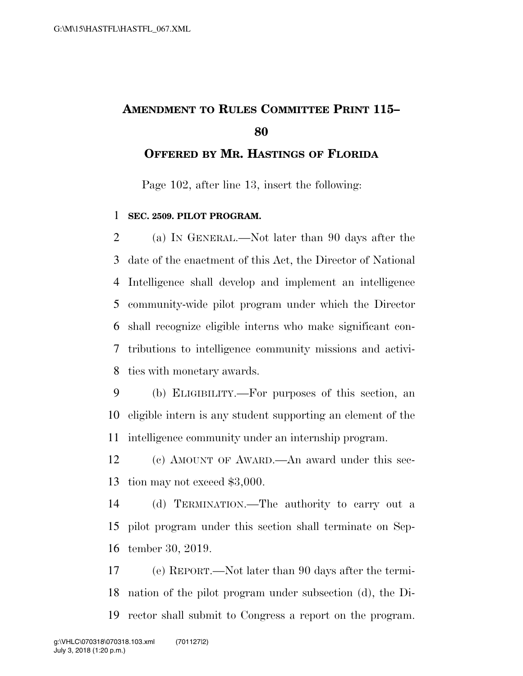## **AMENDMENT TO RULES COMMITTEE PRINT 115–**

**OFFERED BY MR. HASTINGS OF FLORIDA**

Page 102, after line 13, insert the following:

## **SEC. 2509. PILOT PROGRAM.**

 (a) IN GENERAL.—Not later than 90 days after the date of the enactment of this Act, the Director of National Intelligence shall develop and implement an intelligence community-wide pilot program under which the Director shall recognize eligible interns who make significant con- tributions to intelligence community missions and activi-ties with monetary awards.

 (b) ELIGIBILITY.—For purposes of this section, an eligible intern is any student supporting an element of the intelligence community under an internship program.

 (c) AMOUNT OF AWARD.—An award under this sec-tion may not exceed \$3,000.

 (d) TERMINATION.—The authority to carry out a pilot program under this section shall terminate on Sep-tember 30, 2019.

 (e) REPORT.—Not later than 90 days after the termi- nation of the pilot program under subsection (d), the Di-rector shall submit to Congress a report on the program.